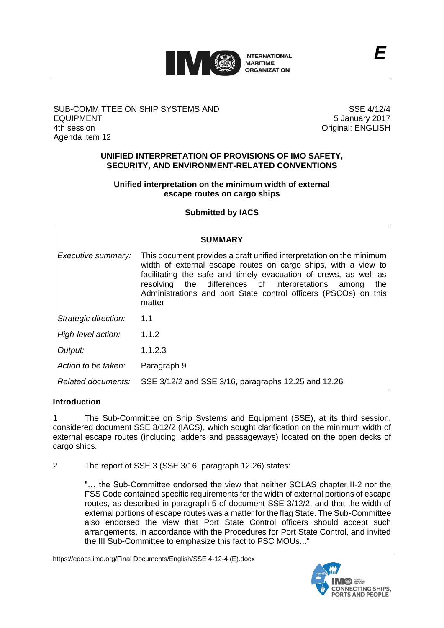

## SUB-COMMITTEE ON SHIP SYSTEMS AND EQUIPMENT 4th session Agenda item 12

SSE 4/12/4 5 January 2017 Original: ENGLISH

#### **UNIFIED INTERPRETATION OF PROVISIONS OF IMO SAFETY, SECURITY, AND ENVIRONMENT-RELATED CONVENTIONS**

## **Unified interpretation on the minimum width of external escape routes on cargo ships**

# **Submitted by IACS**

| SUMMARY              |                                                                                                                                                                                                                                                                                                                                                      |
|----------------------|------------------------------------------------------------------------------------------------------------------------------------------------------------------------------------------------------------------------------------------------------------------------------------------------------------------------------------------------------|
| Executive summary:   | This document provides a draft unified interpretation on the minimum<br>width of external escape routes on cargo ships, with a view to<br>facilitating the safe and timely evacuation of crews, as well as<br>resolving the differences of interpretations among<br>the<br>Administrations and port State control officers (PSCOs) on this<br>matter |
| Strategic direction: | 1.1                                                                                                                                                                                                                                                                                                                                                  |
| High-level action:   | 1.1.2                                                                                                                                                                                                                                                                                                                                                |
| Output:              | 1.1.2.3                                                                                                                                                                                                                                                                                                                                              |
| Action to be taken:  | Paragraph 9                                                                                                                                                                                                                                                                                                                                          |
| Related documents:   | SSE 3/12/2 and SSE 3/16, paragraphs 12.25 and 12.26                                                                                                                                                                                                                                                                                                  |

## **Introduction**

1 The Sub-Committee on Ship Systems and Equipment (SSE), at its third session, considered document SSE 3/12/2 (IACS), which sought clarification on the minimum width of external escape routes (including ladders and passageways) located on the open decks of cargo ships.

2 The report of SSE 3 (SSE 3/16, paragraph 12.26) states:

"… the Sub-Committee endorsed the view that neither SOLAS chapter II-2 nor the FSS Code contained specific requirements for the width of external portions of escape routes, as described in paragraph 5 of document SSE 3/12/2, and that the width of external portions of escape routes was a matter for the flag State. The Sub-Committee also endorsed the view that Port State Control officers should accept such arrangements, in accordance with the Procedures for Port State Control, and invited the III Sub-Committee to emphasize this fact to PSC MOUs..."

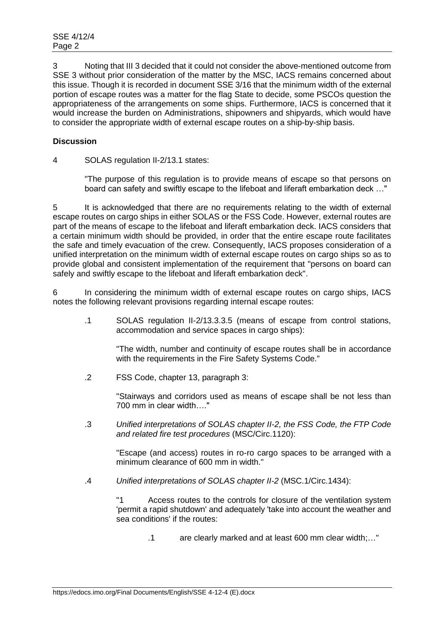3 Noting that III 3 decided that it could not consider the above-mentioned outcome from SSE 3 without prior consideration of the matter by the MSC, IACS remains concerned about this issue. Though it is recorded in document SSE 3/16 that the minimum width of the external portion of escape routes was a matter for the flag State to decide, some PSCOs question the appropriateness of the arrangements on some ships. Furthermore, IACS is concerned that it would increase the burden on Administrations, shipowners and shipyards, which would have to consider the appropriate width of external escape routes on a ship-by-ship basis.

# **Discussion**

4 SOLAS regulation II-2/13.1 states:

"The purpose of this regulation is to provide means of escape so that persons on board can safety and swiftly escape to the lifeboat and liferaft embarkation deck …"

5 It is acknowledged that there are no requirements relating to the width of external escape routes on cargo ships in either SOLAS or the FSS Code. However, external routes are part of the means of escape to the lifeboat and liferaft embarkation deck. IACS considers that a certain minimum width should be provided, in order that the entire escape route facilitates the safe and timely evacuation of the crew. Consequently, IACS proposes consideration of a unified interpretation on the minimum width of external escape routes on cargo ships so as to provide global and consistent implementation of the requirement that "persons on board can safely and swiftly escape to the lifeboat and liferaft embarkation deck".

6 In considering the minimum width of external escape routes on cargo ships, IACS notes the following relevant provisions regarding internal escape routes:

.1 SOLAS regulation II-2/13.3.3.5 (means of escape from control stations, accommodation and service spaces in cargo ships):

> "The width, number and continuity of escape routes shall be in accordance with the requirements in the Fire Safety Systems Code."

.2 FSS Code, chapter 13, paragraph 3:

"Stairways and corridors used as means of escape shall be not less than 700 mm in clear width…."

.3 *Unified interpretations of SOLAS chapter II-2, the FSS Code, the FTP Code and related fire test procedures* (MSC/Circ.1120):

"Escape (and access) routes in ro-ro cargo spaces to be arranged with a minimum clearance of 600 mm in width."

.4 *Unified interpretations of SOLAS chapter II-2* (MSC.1/Circ.1434):

"1 Access routes to the controls for closure of the ventilation system 'permit a rapid shutdown' and adequately 'take into account the weather and sea conditions' if the routes:

.1 are clearly marked and at least 600 mm clear width;…"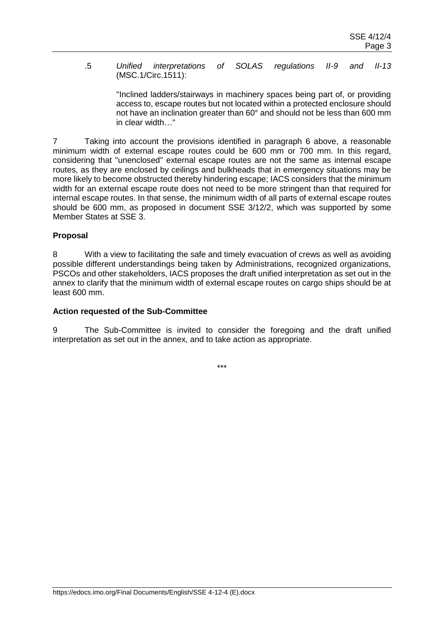.5 *Unified interpretations of SOLAS regulations II-9 and II-13*  (MSC.1/Circ.1511):

> "Inclined ladders/stairways in machinery spaces being part of, or providing access to, escape routes but not located within a protected enclosure should not have an inclination greater than 60° and should not be less than 600 mm in clear width…"

7 Taking into account the provisions identified in paragraph 6 above, a reasonable minimum width of external escape routes could be 600 mm or 700 mm. In this regard, considering that "unenclosed" external escape routes are not the same as internal escape routes, as they are enclosed by ceilings and bulkheads that in emergency situations may be more likely to become obstructed thereby hindering escape; IACS considers that the minimum width for an external escape route does not need to be more stringent than that required for internal escape routes. In that sense, the minimum width of all parts of external escape routes should be 600 mm, as proposed in document SSE 3/12/2, which was supported by some Member States at SSE 3.

## **Proposal**

8 With a view to facilitating the safe and timely evacuation of crews as well as avoiding possible different understandings being taken by Administrations, recognized organizations, PSCOs and other stakeholders, IACS proposes the draft unified interpretation as set out in the annex to clarify that the minimum width of external escape routes on cargo ships should be at least 600 mm.

#### **Action requested of the Sub-Committee**

The Sub-Committee is invited to consider the foregoing and the draft unified interpretation as set out in the annex, and to take action as appropriate.

\*\*\*